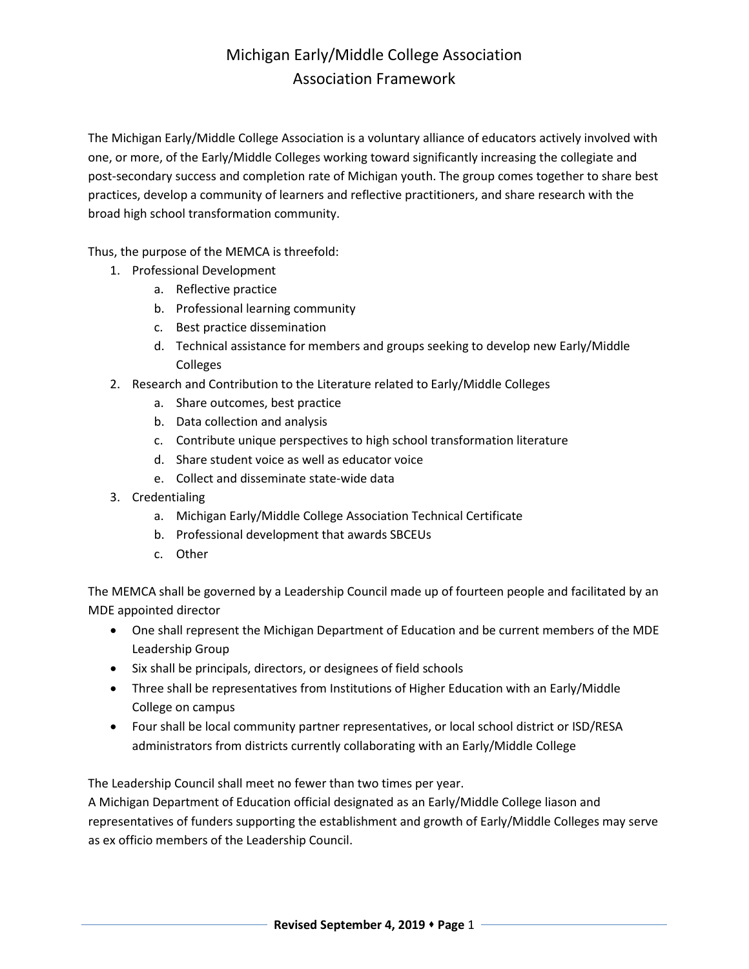## Michigan Early/Middle College Association Association Framework

The Michigan Early/Middle College Association is a voluntary alliance of educators actively involved with one, or more, of the Early/Middle Colleges working toward significantly increasing the collegiate and post-secondary success and completion rate of Michigan youth. The group comes together to share best practices, develop a community of learners and reflective practitioners, and share research with the broad high school transformation community.

Thus, the purpose of the MEMCA is threefold:

- 1. Professional Development
	- a. Reflective practice
	- b. Professional learning community
	- c. Best practice dissemination
	- d. Technical assistance for members and groups seeking to develop new Early/Middle Colleges
- 2. Research and Contribution to the Literature related to Early/Middle Colleges
	- a. Share outcomes, best practice
	- b. Data collection and analysis
	- c. Contribute unique perspectives to high school transformation literature
	- d. Share student voice as well as educator voice
	- e. Collect and disseminate state-wide data
- 3. Credentialing
	- a. Michigan Early/Middle College Association Technical Certificate
	- b. Professional development that awards SBCEUs
	- c. Other

The MEMCA shall be governed by a Leadership Council made up of fourteen people and facilitated by an MDE appointed director

- One shall represent the Michigan Department of Education and be current members of the MDE Leadership Group
- Six shall be principals, directors, or designees of field schools
- Three shall be representatives from Institutions of Higher Education with an Early/Middle College on campus
- Four shall be local community partner representatives, or local school district or ISD/RESA administrators from districts currently collaborating with an Early/Middle College

The Leadership Council shall meet no fewer than two times per year.

A Michigan Department of Education official designated as an Early/Middle College liason and representatives of funders supporting the establishment and growth of Early/Middle Colleges may serve as ex officio members of the Leadership Council.